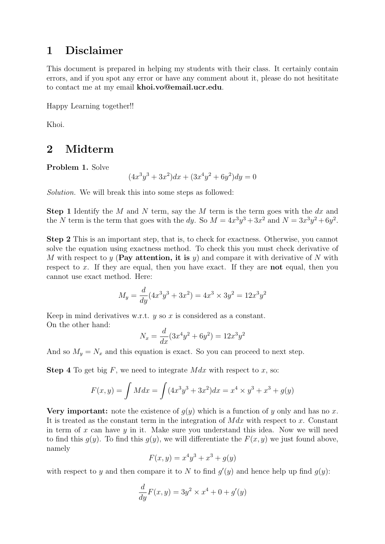## 1 Disclaimer

This document is prepared in helping my students with their class. It certainly contain errors, and if you spot any error or have any comment about it, please do not hesititate to contact me at my email khoi.vo@email.ucr.edu.

Happy Learning together!!

Khoi.

## 2 Midterm

Problem 1. Solve

$$
(4x^3y^3 + 3x^2)dx + (3x^4y^2 + 6y^2)dy = 0
$$

Solution. We will break this into some steps as followed:

**Step 1** Identify the M and N term, say the M term is the term goes with the dx and the N term is the term that goes with the dy. So  $M = 4x^3y^3 + 3x^2$  and  $N = 3x^3y^2 + 6y^2$ .

Step 2 This is an important step, that is, to check for exactness. Otherwise, you cannot solve the equation using exactness method. To check this you must check derivative of M with respect to y (**Pay attention, it is** y) and compare it with derivative of N with respect to  $x$ . If they are equal, then you have exact. If they are **not** equal, then you cannot use exact method. Here:

$$
M_y = \frac{d}{dy}(4x^3y^3 + 3x^2) = 4x^3 \times 3y^2 = 12x^3y^2
$$

Keep in mind derivatives w.r.t.  $y$  so  $x$  is considered as a constant. On the other hand:

$$
N_x = \frac{d}{dx}(3x^4y^2 + 6y^2) = 12x^3y^2
$$

And so  $M_y = N_x$  and this equation is exact. So you can proceed to next step.

**Step 4** To get big  $F$ , we need to integrate  $M dx$  with respect to  $x$ , so:

$$
F(x, y) = \int M dx = \int (4x^3y^3 + 3x^2) dx = x^4 \times y^3 + x^3 + g(y)
$$

**Very important:** note the existence of  $g(y)$  which is a function of y only and has no x. It is treated as the constant term in the integration of  $M dx$  with respect to x. Constant in term of  $x$  can have  $y$  in it. Make sure you understand this idea. Now we will need to find this  $g(y)$ . To find this  $g(y)$ , we will differentiate the  $F(x, y)$  we just found above, namely

$$
F(x, y) = x^4y^3 + x^3 + g(y)
$$

with respect to y and then compare it to N to find  $g'(y)$  and hence help up find  $g(y)$ :

$$
\frac{d}{dy}F(x,y) = 3y^2 \times x^4 + 0 + g'(y)
$$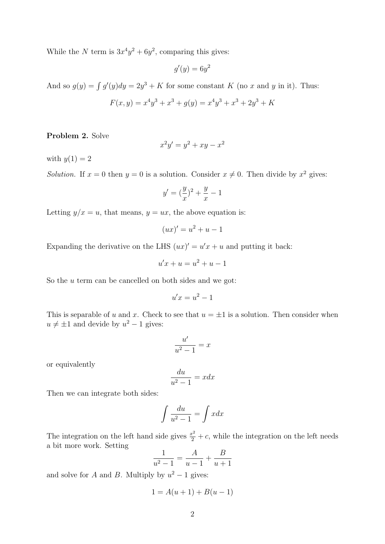While the N term is  $3x^4y^2 + 6y^2$ , comparing this gives:

$$
g'(y) = 6y^2
$$

And so  $g(y) = \int g'(y)dy = 2y^3 + K$  for some constant K (no x and y in it). Thus:

$$
F(x, y) = x4y3 + x3 + g(y) = x4y3 + x3 + 2y3 + K
$$

Problem 2. Solve

$$
x^2y' = y^2 + xy - x^2
$$

with  $y(1) = 2$ 

Solution. If  $x = 0$  then  $y = 0$  is a solution. Consider  $x \neq 0$ . Then divide by  $x^2$  gives:

$$
y'=(\frac{y}{x})^2+\frac{y}{x}-1
$$

Letting  $y/x = u$ , that means,  $y = ux$ , the above equation is:

$$
(ux)' = u^2 + u - 1
$$

Expanding the derivative on the LHS  $(ux)' = u'x + u$  and putting it back:

$$
u'x + u = u^2 + u - 1
$$

So the  $u$  term can be cancelled on both sides and we got:

$$
u'x = u^2 - 1
$$

This is separable of u and x. Check to see that  $u = \pm 1$  is a solution. Then consider when  $u \neq \pm 1$  and devide by  $u^2 - 1$  gives:

$$
\frac{u'}{u^2 - 1} = x
$$

or equivalently

$$
\frac{du}{u^2 - 1} = xdx
$$

Then we can integrate both sides:

$$
\int \frac{du}{u^2 - 1} = \int x dx
$$

The integration on the left hand side gives  $\frac{x^2}{2} + c$ , while the integration on the left needs a bit more work. Setting

$$
\frac{1}{u^2 - 1} = \frac{A}{u - 1} + \frac{B}{u + 1}
$$

and solve for A and B. Multiply by  $u^2 - 1$  gives:

$$
1 = A(u + 1) + B(u - 1)
$$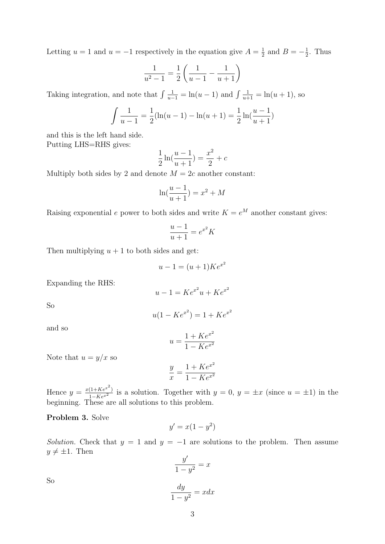Letting  $u = 1$  and  $u = -1$  respectively in the equation give  $A = \frac{1}{2}$  $\frac{1}{2}$  and  $B = -\frac{1}{2}$  $\frac{1}{2}$ . Thus

$$
\frac{1}{u^2 - 1} = \frac{1}{2} \left( \frac{1}{u - 1} - \frac{1}{u + 1} \right)
$$

Taking integration, and note that  $\int \frac{1}{u-1} = \ln(u-1)$  and  $\int \frac{1}{u+1} = \ln(u+1)$ , so

$$
\int \frac{1}{u-1} = \frac{1}{2}(\ln(u-1) - \ln(u+1)) = \frac{1}{2}\ln(\frac{u-1}{u+1})
$$

and this is the left hand side. Putting LHS=RHS gives:

$$
\frac{1}{2}\ln(\frac{u-1}{u+1}) = \frac{x^2}{2} + c
$$

Multiply both sides by 2 and denote  $M = 2c$  another constant:

$$
\ln(\frac{u-1}{u+1}) = x^2 + M
$$

Raising exponential e power to both sides and write  $K = e^M$  another constant gives:

$$
\frac{u-1}{u+1} = e^{x^2} K
$$

Then multiplying  $u + 1$  to both sides and get:

$$
u - 1 = (u + 1)Ke^{x^2}
$$

Expanding the RHS:

$$
u - 1 = Ke^{x^2}u + Ke^{x^2}
$$

So

$$
u(1 - Ke^{x^2}) = 1 + Ke^{x^2}
$$

and so

$$
u = \frac{1 + Ke^{x^2}}{1 - Ke^{x^2}}
$$

Note that  $u = y/x$  so

$$
\frac{y}{x} = \frac{1 + Ke^{x^2}}{1 - Ke^{x^2}}
$$

Hence  $y = \frac{x(1+Ke^{x^2})}{1-Ke^{x^2}}$  is a solution. Together with  $y = 0$ ,  $y = \pm x$  (since  $u = \pm 1$ ) in the beginning. These are all solutions to this problem.

Problem 3. Solve

$$
y' = x(1 - y^2)
$$

Solution. Check that  $y = 1$  and  $y = -1$  are solutions to the problem. Then assume  $y \neq \pm 1$ . Then

$$
\frac{y'}{1-y^2} = x
$$

So

$$
\frac{dy}{1 - y^2} = xdx
$$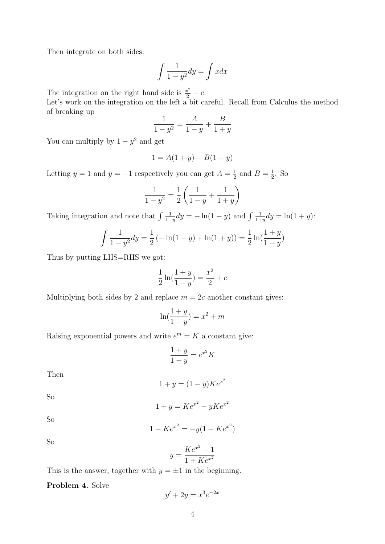Then integrate on both sides:

$$
\int \frac{1}{1 - y^2} dy = \int x dx
$$

The integration on the right hand side is  $\frac{x^2}{2} + c$ .

Let's work on the integration on the left a bit careful. Recall from Calculus the method of breaking up

$$
\frac{1}{1-y^2} = \frac{A}{1-y} + \frac{B}{1+y}
$$

You can multiply by  $1 - y^2$  and get

$$
1 = A(1 + y) + B(1 - y)
$$

Letting  $y = 1$  and  $y = -1$  respectively you can get  $A = \frac{1}{2}$  $\frac{1}{2}$  and  $B = \frac{1}{2}$  $\frac{1}{2}$ . So

$$
\frac{1}{1-y^2} = \frac{1}{2} \left( \frac{1}{1-y} + \frac{1}{1+y} \right)
$$

Taking integration and note that  $\int \frac{1}{1}$  $\frac{1}{1-y}dy = -\ln(1-y)$  and  $\int \frac{1}{1+y}$  $\frac{1}{1+y}dy = \ln(1+y)$ :

$$
\int \frac{1}{1 - y^2} dy = \frac{1}{2} \left( -\ln(1 - y) + \ln(1 + y) \right) = \frac{1}{2} \ln\left(\frac{1 + y}{1 - y}\right)
$$

Thus by putting LHS=RHS we got:

$$
\frac{1}{2}\ln(\frac{1+y}{1-y}) = \frac{x^2}{2} + c
$$

Multiplying both sides by 2 and replace  $m = 2c$  another constant gives:

$$
\ln(\frac{1+y}{1-y}) = x^2 + m
$$

Raising exponential powers and write  $e^m = K$  a constant give:

$$
\frac{1+y}{1-y} = e^{x^2} K
$$

Then

$$
1 + y = (1 - y)Ke^{x^2}
$$

So

$$
1 + y = Ke^{x^2} - yKe^{x^2}
$$

So

$$
1 - Ke^{x^2} = -y(1 + Ke^{x^2})
$$

So

$$
y = \frac{Ke^{x^2} - 1}{1 + Ke^{x^2}}
$$

This is the answer, together with  $y = \pm 1$  in the beginning.

Problem 4. Solve

$$
y' + 2y = x^3 e^{-2x}
$$